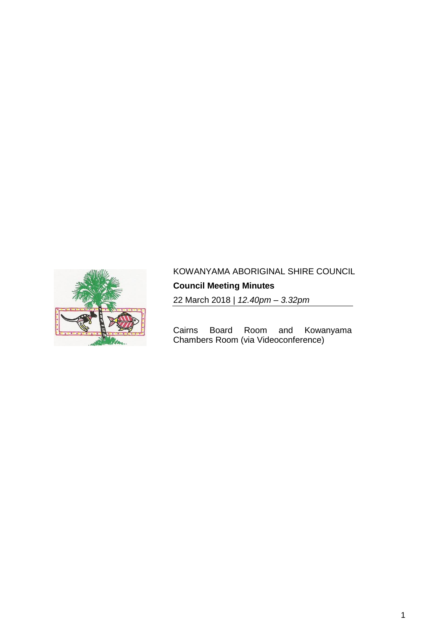

# KOWANYAMA ABORIGINAL SHIRE COUNCIL

**Council Meeting Minutes**

22 March 2018 | *12.40pm – 3.32pm*

Cairns Board Room and Kowanyama Chambers Room (via Videoconference)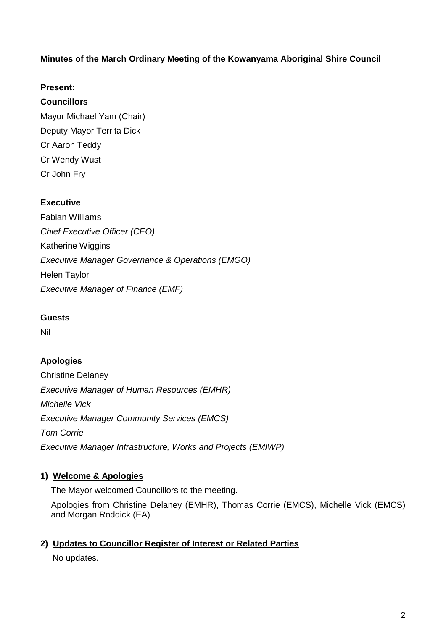# **Minutes of the March Ordinary Meeting of the Kowanyama Aboriginal Shire Council**

# **Present:**

# **Councillors**

Mayor Michael Yam (Chair) Deputy Mayor Territa Dick Cr Aaron Teddy Cr Wendy Wust Cr John Fry

# **Executive**

Fabian Williams *Chief Executive Officer (CEO)* Katherine Wiggins *Executive Manager Governance & Operations (EMGO)* Helen Taylor *Executive Manager of Finance (EMF)*

### **Guests**

Nil

# **Apologies**

Christine Delaney *Executive Manager of Human Resources (EMHR) Michelle Vick Executive Manager Community Services (EMCS) Tom Corrie Executive Manager Infrastructure, Works and Projects (EMIWP)*

# **1) Welcome & Apologies**

The Mayor welcomed Councillors to the meeting.

Apologies from Christine Delaney (EMHR), Thomas Corrie (EMCS), Michelle Vick (EMCS) and Morgan Roddick (EA)

# **2) Updates to Councillor Register of Interest or Related Parties**

No updates.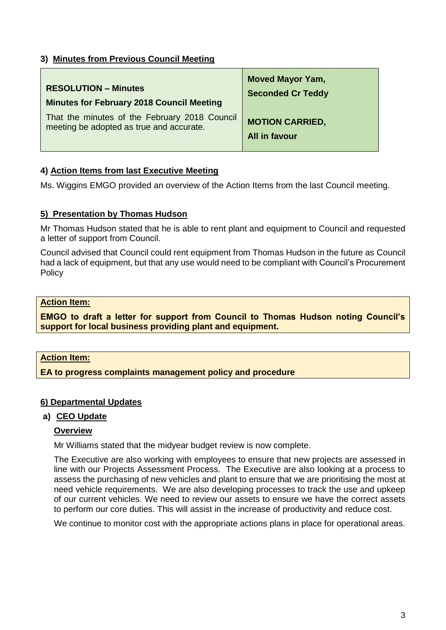# **3) Minutes from Previous Council Meeting**

| <b>RESOLUTION - Minutes</b>                      | <b>Moved Mayor Yam,</b>  |
|--------------------------------------------------|--------------------------|
| <b>Minutes for February 2018 Council Meeting</b> | <b>Seconded Cr Teddy</b> |
| That the minutes of the February 2018 Council    | <b>MOTION CARRIED,</b>   |
| meeting be adopted as true and accurate.         | All in favour            |

# **4) Action Items from last Executive Meeting**

Ms. Wiggins EMGO provided an overview of the Action Items from the last Council meeting.

### **5) Presentation by Thomas Hudson**

Mr Thomas Hudson stated that he is able to rent plant and equipment to Council and requested a letter of support from Council.

Council advised that Council could rent equipment from Thomas Hudson in the future as Council had a lack of equipment, but that any use would need to be compliant with Council's Procurement **Policy** 

### **Action Item:**

**EMGO to draft a letter for support from Council to Thomas Hudson noting Council's support for local business providing plant and equipment.**

### **Action Item:**

**EA to progress complaints management policy and procedure**

### **6) Departmental Updates**

#### **a) CEO Update**

#### **Overview**

Mr Williams stated that the midyear budget review is now complete.

The Executive are also working with employees to ensure that new projects are assessed in line with our Projects Assessment Process. The Executive are also looking at a process to assess the purchasing of new vehicles and plant to ensure that we are prioritising the most at need vehicle requirements. We are also developing processes to track the use and upkeep of our current vehicles. We need to review our assets to ensure we have the correct assets to perform our core duties. This will assist in the increase of productivity and reduce cost.

We continue to monitor cost with the appropriate actions plans in place for operational areas.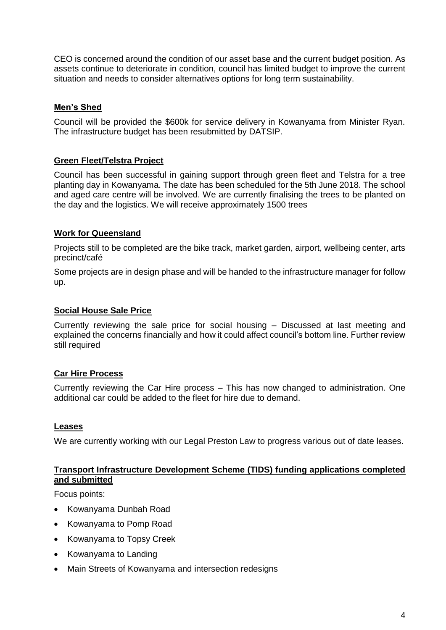CEO is concerned around the condition of our asset base and the current budget position. As assets continue to deteriorate in condition, council has limited budget to improve the current situation and needs to consider alternatives options for long term sustainability.

# **Men's Shed**

Council will be provided the \$600k for service delivery in Kowanyama from Minister Ryan. The infrastructure budget has been resubmitted by DATSIP.

# **Green Fleet/Telstra Project**

Council has been successful in gaining support through green fleet and Telstra for a tree planting day in Kowanyama. The date has been scheduled for the 5th June 2018. The school and aged care centre will be involved. We are currently finalising the trees to be planted on the day and the logistics. We will receive approximately 1500 trees

### **Work for Queensland**

Projects still to be completed are the bike track, market garden, airport, wellbeing center, arts precinct/café

Some projects are in design phase and will be handed to the infrastructure manager for follow up.

### **Social House Sale Price**

Currently reviewing the sale price for social housing – Discussed at last meeting and explained the concerns financially and how it could affect council's bottom line. Further review still required

### **Car Hire Process**

Currently reviewing the Car Hire process – This has now changed to administration. One additional car could be added to the fleet for hire due to demand.

#### **Leases**

We are currently working with our Legal Preston Law to progress various out of date leases.

#### **Transport Infrastructure Development Scheme (TIDS) funding applications completed and submitted**

Focus points:

- Kowanyama Dunbah Road
- Kowanyama to Pomp Road
- Kowanyama to Topsy Creek
- Kowanyama to Landing
- Main Streets of Kowanyama and intersection redesigns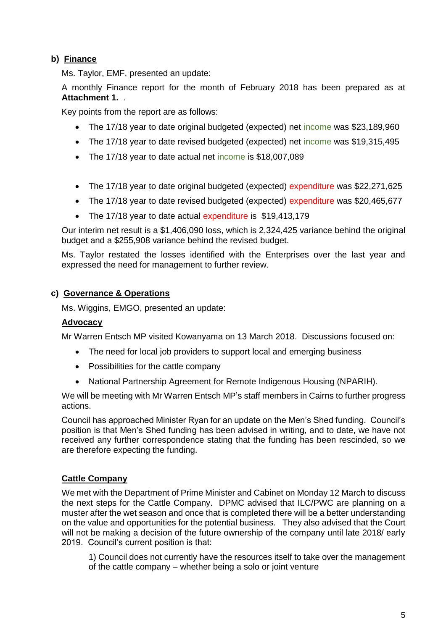# **b) Finance**

Ms. Taylor, EMF, presented an update:

A monthly Finance report for the month of February 2018 has been prepared as at **Attachment 1.** .

Key points from the report are as follows:

- The 17/18 year to date original budgeted (expected) net income was \$23,189,960
- The 17/18 year to date revised budgeted (expected) net income was \$19,315,495
- The 17/18 year to date actual net income is \$18,007,089
- The 17/18 year to date original budgeted (expected) expenditure was \$22,271,625
- The 17/18 year to date revised budgeted (expected) expenditure was \$20,465,677
- The 17/18 year to date actual expenditure is \$19,413,179

Our interim net result is a \$1,406,090 loss, which is 2,324,425 variance behind the original budget and a \$255,908 variance behind the revised budget.

Ms. Taylor restated the losses identified with the Enterprises over the last year and expressed the need for management to further review.

### **c) Governance & Operations**

Ms. Wiggins, EMGO, presented an update:

### **Advocacy**

Mr Warren Entsch MP visited Kowanyama on 13 March 2018. Discussions focused on:

- The need for local job providers to support local and emerging business
- Possibilities for the cattle company
- National Partnership Agreement for Remote Indigenous Housing (NPARIH).

We will be meeting with Mr Warren Entsch MP's staff members in Cairns to further progress actions.

Council has approached Minister Ryan for an update on the Men's Shed funding. Council's position is that Men's Shed funding has been advised in writing, and to date, we have not received any further correspondence stating that the funding has been rescinded, so we are therefore expecting the funding.

### **Cattle Company**

We met with the Department of Prime Minister and Cabinet on Monday 12 March to discuss the next steps for the Cattle Company. DPMC advised that ILC/PWC are planning on a muster after the wet season and once that is completed there will be a better understanding on the value and opportunities for the potential business. They also advised that the Court will not be making a decision of the future ownership of the company until late 2018/ early 2019. Council's current position is that:

1) Council does not currently have the resources itself to take over the management of the cattle company – whether being a solo or joint venture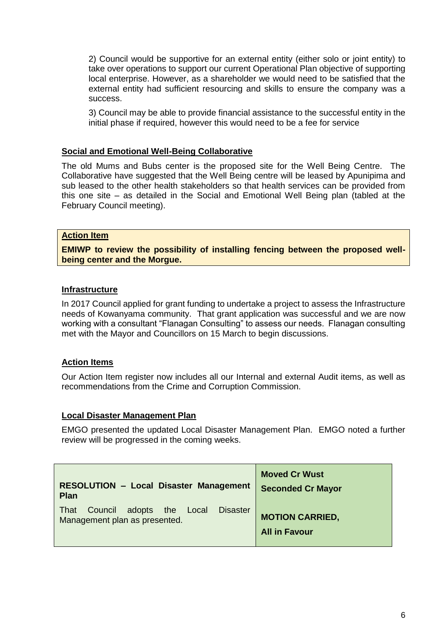2) Council would be supportive for an external entity (either solo or joint entity) to take over operations to support our current Operational Plan objective of supporting local enterprise. However, as a shareholder we would need to be satisfied that the external entity had sufficient resourcing and skills to ensure the company was a success.

3) Council may be able to provide financial assistance to the successful entity in the initial phase if required, however this would need to be a fee for service

#### **Social and Emotional Well-Being Collaborative**

The old Mums and Bubs center is the proposed site for the Well Being Centre. The Collaborative have suggested that the Well Being centre will be leased by Apunipima and sub leased to the other health stakeholders so that health services can be provided from this one site – as detailed in the Social and Emotional Well Being plan (tabled at the February Council meeting).

### **Action Item**

**EMIWP to review the possibility of installing fencing between the proposed wellbeing center and the Morgue.**

#### **Infrastructure**

In 2017 Council applied for grant funding to undertake a project to assess the Infrastructure needs of Kowanyama community. That grant application was successful and we are now working with a consultant "Flanagan Consulting" to assess our needs. Flanagan consulting met with the Mayor and Councillors on 15 March to begin discussions.

#### **Action Items**

Our Action Item register now includes all our Internal and external Audit items, as well as recommendations from the Crime and Corruption Commission.

#### **Local Disaster Management Plan**

EMGO presented the updated Local Disaster Management Plan. EMGO noted a further review will be progressed in the coming weeks.

| <b>RESOLUTION - Local Disaster Management</b>                                           | <b>Moved Cr Wust</b>                           |
|-----------------------------------------------------------------------------------------|------------------------------------------------|
| <b>Plan</b>                                                                             | <b>Seconded Cr Mayor</b>                       |
| Council<br><b>Disaster</b><br>adopts the Local<br>That<br>Management plan as presented. | <b>MOTION CARRIED,</b><br><b>All in Favour</b> |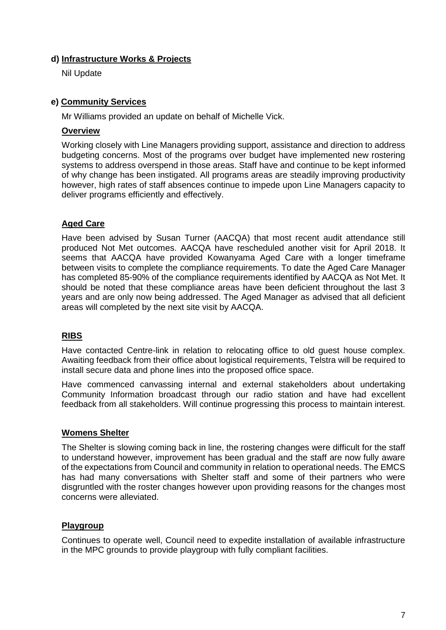## **d) Infrastructure Works & Projects**

Nil Update

# **e) Community Services**

Mr Williams provided an update on behalf of Michelle Vick.

# **Overview**

Working closely with Line Managers providing support, assistance and direction to address budgeting concerns. Most of the programs over budget have implemented new rostering systems to address overspend in those areas. Staff have and continue to be kept informed of why change has been instigated. All programs areas are steadily improving productivity however, high rates of staff absences continue to impede upon Line Managers capacity to deliver programs efficiently and effectively.

# **Aged Care**

Have been advised by Susan Turner (AACQA) that most recent audit attendance still produced Not Met outcomes. AACQA have rescheduled another visit for April 2018. It seems that AACQA have provided Kowanyama Aged Care with a longer timeframe between visits to complete the compliance requirements. To date the Aged Care Manager has completed 85-90% of the compliance requirements identified by AACQA as Not Met. It should be noted that these compliance areas have been deficient throughout the last 3 years and are only now being addressed. The Aged Manager as advised that all deficient areas will completed by the next site visit by AACQA.

# **RIBS**

Have contacted Centre-link in relation to relocating office to old guest house complex. Awaiting feedback from their office about logistical requirements, Telstra will be required to install secure data and phone lines into the proposed office space.

Have commenced canvassing internal and external stakeholders about undertaking Community Information broadcast through our radio station and have had excellent feedback from all stakeholders. Will continue progressing this process to maintain interest.

# **Womens Shelter**

The Shelter is slowing coming back in line, the rostering changes were difficult for the staff to understand however, improvement has been gradual and the staff are now fully aware of the expectations from Council and community in relation to operational needs. The EMCS has had many conversations with Shelter staff and some of their partners who were disgruntled with the roster changes however upon providing reasons for the changes most concerns were alleviated.

# **Playgroup**

Continues to operate well, Council need to expedite installation of available infrastructure in the MPC grounds to provide playgroup with fully compliant facilities.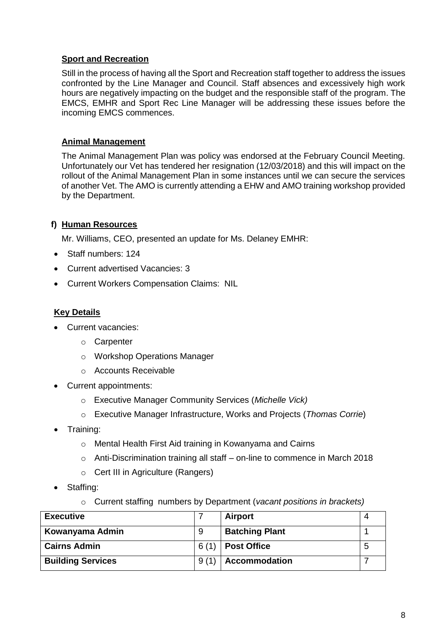# **Sport and Recreation**

Still in the process of having all the Sport and Recreation staff together to address the issues confronted by the Line Manager and Council. Staff absences and excessively high work hours are negatively impacting on the budget and the responsible staff of the program. The EMCS, EMHR and Sport Rec Line Manager will be addressing these issues before the incoming EMCS commences.

## **Animal Management**

The Animal Management Plan was policy was endorsed at the February Council Meeting. Unfortunately our Vet has tendered her resignation (12/03/2018) and this will impact on the rollout of the Animal Management Plan in some instances until we can secure the services of another Vet. The AMO is currently attending a EHW and AMO training workshop provided by the Department.

# **f) Human Resources**

Mr. Williams, CEO, presented an update for Ms. Delaney EMHR:

- Staff numbers: 124
- Current advertised Vacancies: 3
- Current Workers Compensation Claims: NIL

# **Key Details**

- Current vacancies:
	- o Carpenter
	- o Workshop Operations Manager
	- o Accounts Receivable
- Current appointments:
	- o Executive Manager Community Services (*Michelle Vick)*
	- o Executive Manager Infrastructure, Works and Projects (*Thomas Corrie*)
- Training:
	- o Mental Health First Aid training in Kowanyama and Cairns
	- o Anti-Discrimination training all staff on-line to commence in March 2018
	- o Cert III in Agriculture (Rangers)
- Staffing:
	- o Current staffing numbers by Department (*vacant positions in brackets)*

| <b>Executive</b>         |      | <b>Airport</b>        |   |
|--------------------------|------|-----------------------|---|
| Kowanyama Admin          | 9    | <b>Batching Plant</b> |   |
| <b>Cairns Admin</b>      | 6(1) | <b>Post Office</b>    | 5 |
| <b>Building Services</b> | 9(1) | <b>Accommodation</b>  |   |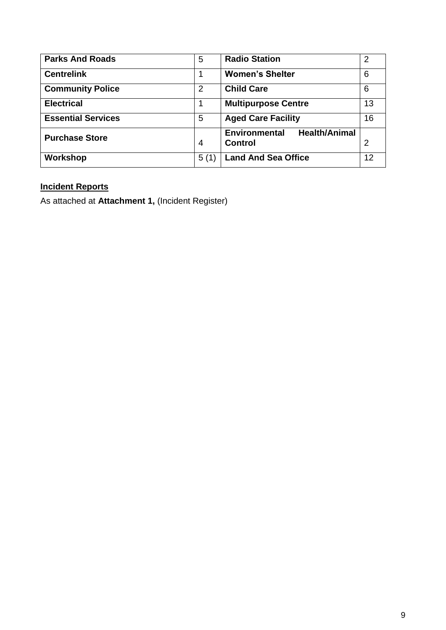| <b>Parks And Roads</b>    | 5              | <b>Radio Station</b>                         |    |
|---------------------------|----------------|----------------------------------------------|----|
| <b>Centrelink</b>         |                | <b>Women's Shelter</b>                       |    |
| <b>Community Police</b>   | 2              | <b>Child Care</b>                            |    |
| <b>Electrical</b>         | 1              | <b>Multipurpose Centre</b>                   |    |
| <b>Essential Services</b> | 5              | <b>Aged Care Facility</b>                    | 16 |
| <b>Purchase Store</b>     |                | <b>Health/Animal</b><br><b>Environmental</b> |    |
|                           | $\overline{4}$ | <b>Control</b>                               | 2  |
| Workshop                  | 5(1)           | <b>Land And Sea Office</b>                   | 12 |

# **Incident Reports**

As attached at **Attachment 1,** (Incident Register)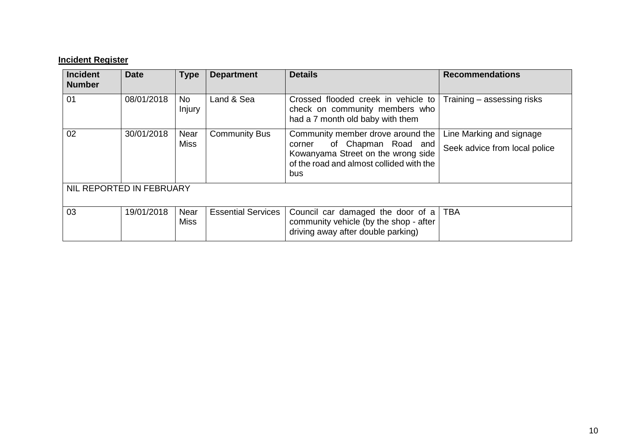# **Incident Register**

| <b>Incident</b><br><b>Number</b> | <b>Date</b> | <b>Type</b>                | <b>Department</b>         | <b>Details</b>                                                                                                         | <b>Recommendations</b>        |
|----------------------------------|-------------|----------------------------|---------------------------|------------------------------------------------------------------------------------------------------------------------|-------------------------------|
| 01                               | 08/01/2018  | <b>No</b><br>Injury        | Land & Sea                | Crossed flooded creek in vehicle to<br>check on community members who<br>had a 7 month old baby with them              | Training – assessing risks    |
| 02                               | 30/01/2018  | <b>Near</b>                | <b>Community Bus</b>      | Community member drove around the                                                                                      | Line Marking and signage      |
|                                  |             | <b>Miss</b>                |                           | of Chapman Road and<br>corner<br>Kowanyama Street on the wrong side<br>of the road and almost collided with the<br>bus | Seek advice from local police |
| NIL REPORTED IN FEBRUARY         |             |                            |                           |                                                                                                                        |                               |
| 03                               | 19/01/2018  | <b>Near</b><br><b>Miss</b> | <b>Essential Services</b> | Council car damaged the door of a<br>community vehicle (by the shop - after<br>driving away after double parking)      | <b>TBA</b>                    |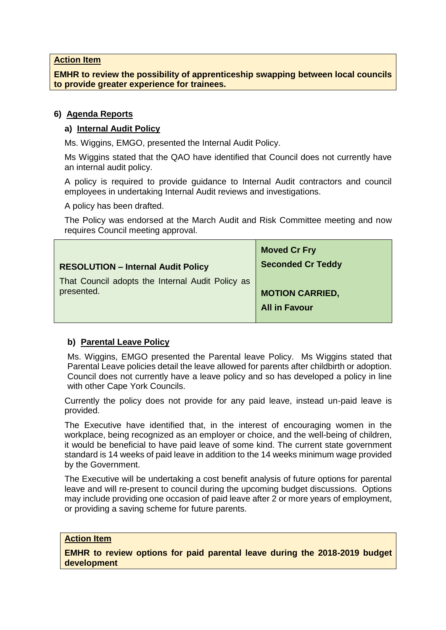#### **Action Item**

**EMHR to review the possibility of apprenticeship swapping between local councils to provide greater experience for trainees.**

### **6) Agenda Reports**

#### **a) Internal Audit Policy**

Ms. Wiggins, EMGO, presented the Internal Audit Policy.

Ms Wiggins stated that the QAO have identified that Council does not currently have an internal audit policy.

A policy is required to provide guidance to Internal Audit contractors and council employees in undertaking Internal Audit reviews and investigations.

A policy has been drafted.

The Policy was endorsed at the March Audit and Risk Committee meeting and now requires Council meeting approval.

|                                                  | <b>Moved Cr Fry</b>      |
|--------------------------------------------------|--------------------------|
| <b>RESOLUTION - Internal Audit Policy</b>        | <b>Seconded Cr Teddy</b> |
| That Council adopts the Internal Audit Policy as |                          |
| presented.                                       | <b>MOTION CARRIED,</b>   |
|                                                  | <b>All in Favour</b>     |
|                                                  |                          |

#### **b) Parental Leave Policy**

Ms. Wiggins, EMGO presented the Parental leave Policy. Ms Wiggins stated that Parental Leave policies detail the leave allowed for parents after childbirth or adoption. Council does not currently have a leave policy and so has developed a policy in line with other Cape York Councils.

Currently the policy does not provide for any paid leave, instead un-paid leave is provided.

The Executive have identified that, in the interest of encouraging women in the workplace, being recognized as an employer or choice, and the well-being of children, it would be beneficial to have paid leave of some kind. The current state government standard is 14 weeks of paid leave in addition to the 14 weeks minimum wage provided by the Government.

The Executive will be undertaking a cost benefit analysis of future options for parental leave and will re-present to council during the upcoming budget discussions. Options may include providing one occasion of paid leave after 2 or more years of employment, or providing a saving scheme for future parents.

#### **Action Item**

**EMHR to review options for paid parental leave during the 2018-2019 budget development**